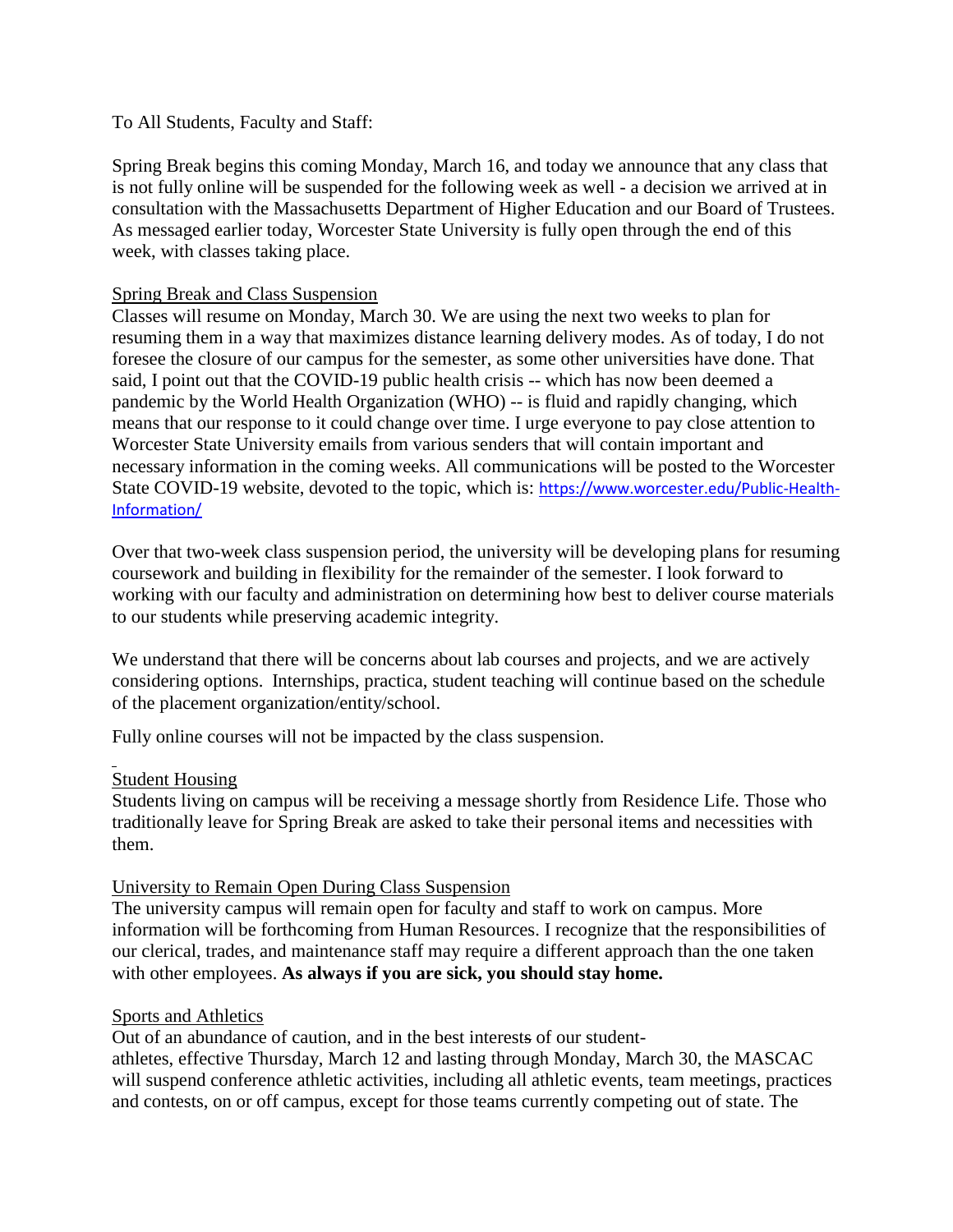## To All Students, Faculty and Staff:

Spring Break begins this coming Monday, March 16, and today we announce that any class that is not fully online will be suspended for the following week as well - a decision we arrived at in consultation with the Massachusetts Department of Higher Education and our Board of Trustees. As messaged earlier today, Worcester State University is fully open through the end of this week, with classes taking place.

### Spring Break and Class Suspension

Classes will resume on Monday, March 30. We are using the next two weeks to plan for resuming them in a way that maximizes distance learning delivery modes. As of today, I do not foresee the closure of our campus for the semester, as some other universities have done. That said, I point out that the COVID-19 public health crisis -- which has now been deemed a pandemic by the World Health Organization (WHO) -- is fluid and rapidly changing, which means that our response to it could change over time. I urge everyone to pay close attention to Worcester State University emails from various senders that will contain important and necessary information in the coming weeks. All communications will be posted to the Worcester State COVID-19 website, devoted to the topic, which is: [https://www.worcester.edu/Public-Health-](https://www.worcester.edu/Public-Health-Information/)[Information/](https://www.worcester.edu/Public-Health-Information/)

Over that two-week class suspension period, the university will be developing plans for resuming coursework and building in flexibility for the remainder of the semester. I look forward to working with our faculty and administration on determining how best to deliver course materials to our students while preserving academic integrity.

We understand that there will be concerns about lab courses and projects, and we are actively considering options. Internships, practica, student teaching will continue based on the schedule of the placement organization/entity/school.

Fully online courses will not be impacted by the class suspension.

## Student Housing

Students living on campus will be receiving a message shortly from Residence Life. Those who traditionally leave for Spring Break are asked to take their personal items and necessities with them.

#### University to Remain Open During Class Suspension

The university campus will remain open for faculty and staff to work on campus. More information will be forthcoming from Human Resources. I recognize that the responsibilities of our clerical, trades, and maintenance staff may require a different approach than the one taken with other employees. **As always if you are sick, you should stay home.**

#### Sports and Athletics

Out of an abundance of caution, and in the best interests of our studentathletes, effective Thursday, March 12 and lasting through Monday, March 30, the MASCAC will suspend conference athletic activities, including all athletic events, team meetings, practices and contests, on or off campus, except for those teams currently competing out of state. The